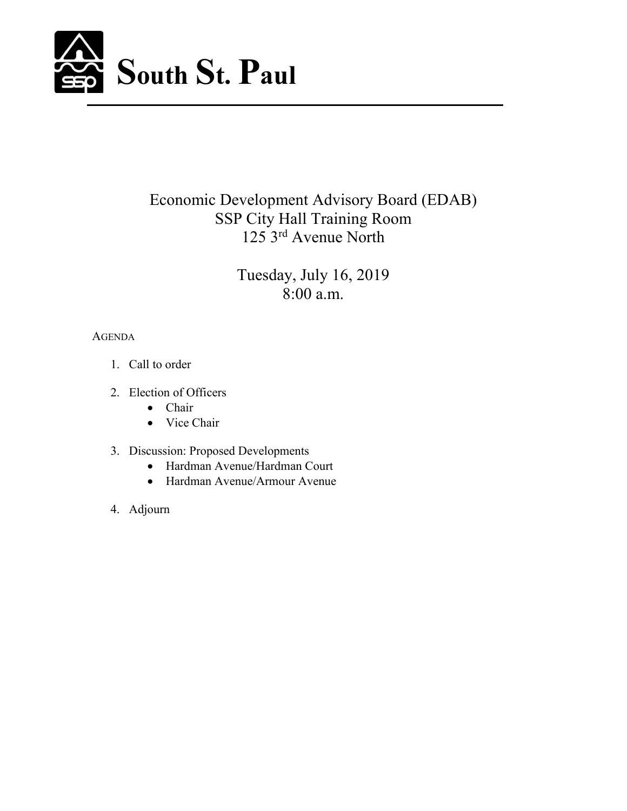

# Economic Development Advisory Board (EDAB) SSP City Hall Training Room 125 3rd Avenue North

Tuesday, July 16, 2019 8:00 a.m.

# AGENDA

- 1. Call to order
- 2. Election of Officers
	- Chair
	- Vice Chair
- 3. Discussion: Proposed Developments
	- Hardman Avenue/Hardman Court
	- Hardman Avenue/Armour Avenue
- 4. Adjourn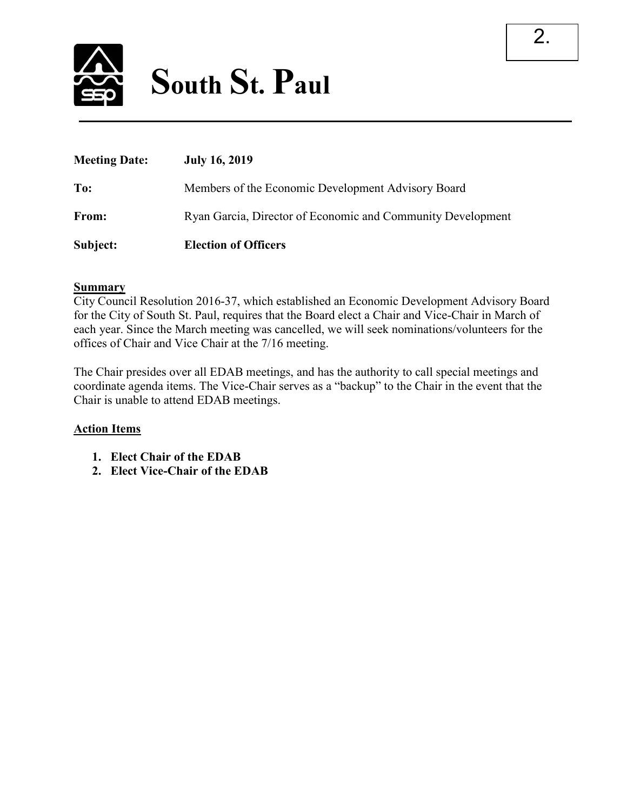

| <b>Meeting Date:</b> | <b>July 16, 2019</b>                                        |
|----------------------|-------------------------------------------------------------|
| To:                  | Members of the Economic Development Advisory Board          |
| From:                | Ryan Garcia, Director of Economic and Community Development |
| Subject:             | <b>Election of Officers</b>                                 |

## **Summary**

City Council Resolution 2016-37, which established an Economic Development Advisory Board for the City of South St. Paul, requires that the Board elect a Chair and Vice-Chair in March of each year. Since the March meeting was cancelled, we will seek nominations/volunteers for the offices of Chair and Vice Chair at the 7/16 meeting.

The Chair presides over all EDAB meetings, and has the authority to call special meetings and coordinate agenda items. The Vice-Chair serves as a "backup" to the Chair in the event that the Chair is unable to attend EDAB meetings.

## **Action Items**

- **1. Elect Chair of the EDAB**
- **2. Elect Vice-Chair of the EDAB**